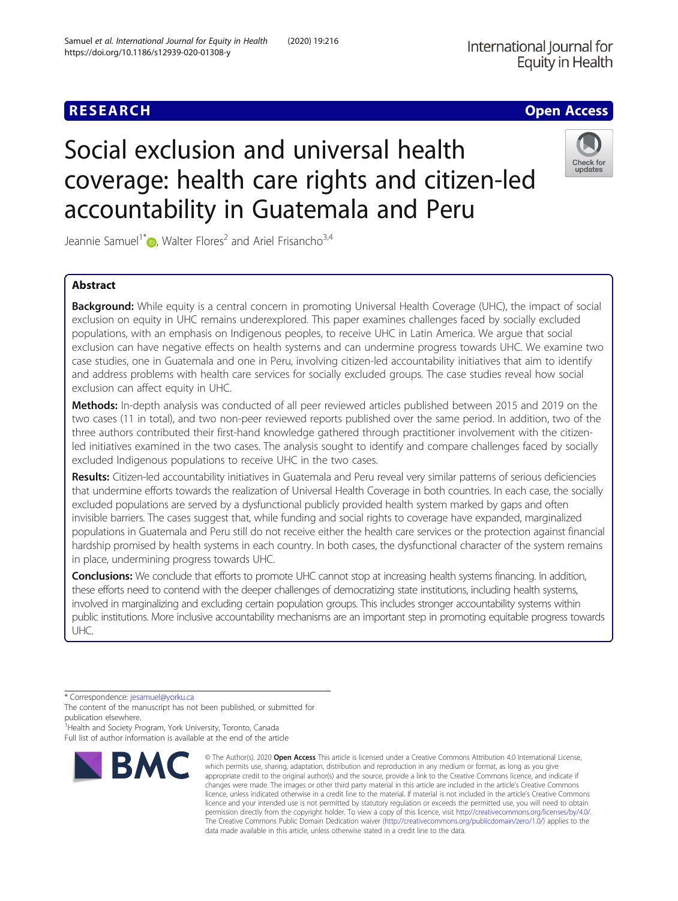## **RESEARCH CHE Open Access**

# Social exclusion and universal health coverage: health care rights and citizen-led accountability in Guatemala and Peru

Jeannie Samuel<sup>1\*</sup> <sub>(b)</sub>[,](http://orcid.org/0000-0002-2576-8855) Walter Flores<sup>2</sup> and Ariel Frisancho<sup>3,4</sup>

## Abstract

Background: While equity is a central concern in promoting Universal Health Coverage (UHC), the impact of social exclusion on equity in UHC remains underexplored. This paper examines challenges faced by socially excluded populations, with an emphasis on Indigenous peoples, to receive UHC in Latin America. We argue that social exclusion can have negative effects on health systems and can undermine progress towards UHC. We examine two case studies, one in Guatemala and one in Peru, involving citizen-led accountability initiatives that aim to identify and address problems with health care services for socially excluded groups. The case studies reveal how social exclusion can affect equity in UHC.

Methods: In-depth analysis was conducted of all peer reviewed articles published between 2015 and 2019 on the two cases (11 in total), and two non-peer reviewed reports published over the same period. In addition, two of the three authors contributed their first-hand knowledge gathered through practitioner involvement with the citizenled initiatives examined in the two cases. The analysis sought to identify and compare challenges faced by socially excluded Indigenous populations to receive UHC in the two cases.

Results: Citizen-led accountability initiatives in Guatemala and Peru reveal very similar patterns of serious deficiencies that undermine efforts towards the realization of Universal Health Coverage in both countries. In each case, the socially excluded populations are served by a dysfunctional publicly provided health system marked by gaps and often invisible barriers. The cases suggest that, while funding and social rights to coverage have expanded, marginalized populations in Guatemala and Peru still do not receive either the health care services or the protection against financial hardship promised by health systems in each country. In both cases, the dysfunctional character of the system remains in place, undermining progress towards UHC.

Conclusions: We conclude that efforts to promote UHC cannot stop at increasing health systems financing. In addition, these efforts need to contend with the deeper challenges of democratizing state institutions, including health systems, involved in marginalizing and excluding certain population groups. This includes stronger accountability systems within public institutions. More inclusive accountability mechanisms are an important step in promoting equitable progress towards UHC.

\* Correspondence: [jesamuel@yorku.ca](mailto:jesamuel@yorku.ca)

The content of the manuscript has not been published, or submitted for publication elsewhere.

<sup>1</sup> Health and Society Program, York University, Toronto, Canada Full list of author information is available at the end of the article



© The Author(s), 2020 **Open Access** This article is licensed under a Creative Commons Attribution 4.0 International License,

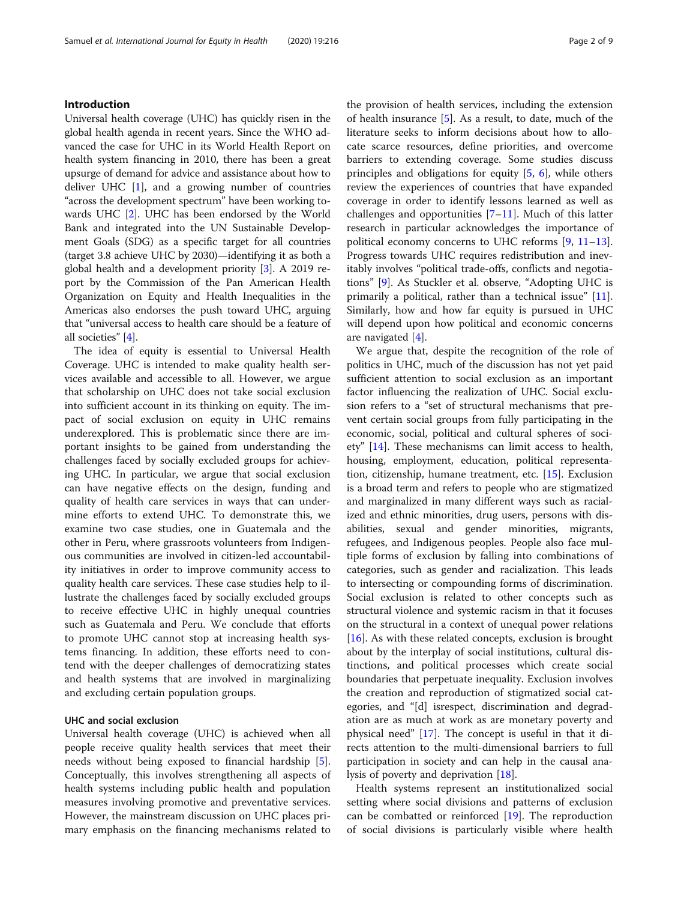## Introduction

Universal health coverage (UHC) has quickly risen in the global health agenda in recent years. Since the WHO advanced the case for UHC in its World Health Report on health system financing in 2010, there has been a great upsurge of demand for advice and assistance about how to deliver UHC  $[1]$  $[1]$ , and a growing number of countries "across the development spectrum" have been working towards UHC [[2\]](#page-7-0). UHC has been endorsed by the World Bank and integrated into the UN Sustainable Development Goals (SDG) as a specific target for all countries (target 3.8 achieve UHC by 2030)—identifying it as both a global health and a development priority [[3](#page-7-0)]. A 2019 report by the Commission of the Pan American Health Organization on Equity and Health Inequalities in the Americas also endorses the push toward UHC, arguing that "universal access to health care should be a feature of all societies" [\[4\]](#page-7-0).

The idea of equity is essential to Universal Health Coverage. UHC is intended to make quality health services available and accessible to all. However, we argue that scholarship on UHC does not take social exclusion into sufficient account in its thinking on equity. The impact of social exclusion on equity in UHC remains underexplored. This is problematic since there are important insights to be gained from understanding the challenges faced by socially excluded groups for achieving UHC. In particular, we argue that social exclusion can have negative effects on the design, funding and quality of health care services in ways that can undermine efforts to extend UHC. To demonstrate this, we examine two case studies, one in Guatemala and the other in Peru, where grassroots volunteers from Indigenous communities are involved in citizen-led accountability initiatives in order to improve community access to quality health care services. These case studies help to illustrate the challenges faced by socially excluded groups to receive effective UHC in highly unequal countries such as Guatemala and Peru. We conclude that efforts to promote UHC cannot stop at increasing health systems financing. In addition, these efforts need to contend with the deeper challenges of democratizing states and health systems that are involved in marginalizing and excluding certain population groups.

## UHC and social exclusion

Universal health coverage (UHC) is achieved when all people receive quality health services that meet their needs without being exposed to financial hardship [\[5](#page-7-0)]. Conceptually, this involves strengthening all aspects of health systems including public health and population measures involving promotive and preventative services. However, the mainstream discussion on UHC places primary emphasis on the financing mechanisms related to

the provision of health services, including the extension of health insurance [\[5](#page-7-0)]. As a result, to date, much of the literature seeks to inform decisions about how to allocate scarce resources, define priorities, and overcome barriers to extending coverage. Some studies discuss principles and obligations for equity [[5,](#page-7-0) [6\]](#page-7-0), while others review the experiences of countries that have expanded coverage in order to identify lessons learned as well as challenges and opportunities [\[7](#page-7-0)–[11\]](#page-7-0). Much of this latter research in particular acknowledges the importance of political economy concerns to UHC reforms [\[9,](#page-7-0) [11](#page-7-0)–[13](#page-7-0)]. Progress towards UHC requires redistribution and inevitably involves "political trade-offs, conflicts and negotiations" [\[9](#page-7-0)]. As Stuckler et al. observe, "Adopting UHC is primarily a political, rather than a technical issue" [\[11](#page-7-0)]. Similarly, how and how far equity is pursued in UHC will depend upon how political and economic concerns are navigated [[4\]](#page-7-0).

We argue that, despite the recognition of the role of politics in UHC, much of the discussion has not yet paid sufficient attention to social exclusion as an important factor influencing the realization of UHC. Social exclusion refers to a "set of structural mechanisms that prevent certain social groups from fully participating in the economic, social, political and cultural spheres of society" [\[14](#page-7-0)]. These mechanisms can limit access to health, housing, employment, education, political representation, citizenship, humane treatment, etc. [\[15\]](#page-7-0). Exclusion is a broad term and refers to people who are stigmatized and marginalized in many different ways such as racialized and ethnic minorities, drug users, persons with disabilities, sexual and gender minorities, migrants, refugees, and Indigenous peoples. People also face multiple forms of exclusion by falling into combinations of categories, such as gender and racialization. This leads to intersecting or compounding forms of discrimination. Social exclusion is related to other concepts such as structural violence and systemic racism in that it focuses on the structural in a context of unequal power relations [[16\]](#page-7-0). As with these related concepts, exclusion is brought about by the interplay of social institutions, cultural distinctions, and political processes which create social boundaries that perpetuate inequality. Exclusion involves the creation and reproduction of stigmatized social categories, and "[d] isrespect, discrimination and degradation are as much at work as are monetary poverty and physical need" [[17](#page-7-0)]. The concept is useful in that it directs attention to the multi-dimensional barriers to full participation in society and can help in the causal analysis of poverty and deprivation [\[18](#page-7-0)].

Health systems represent an institutionalized social setting where social divisions and patterns of exclusion can be combatted or reinforced [[19\]](#page-7-0). The reproduction of social divisions is particularly visible where health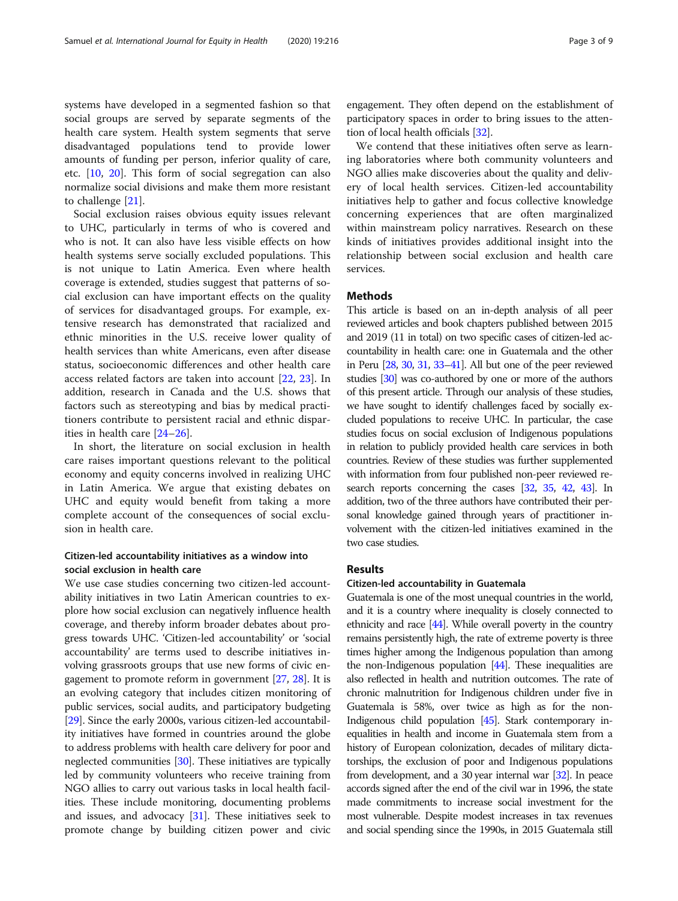systems have developed in a segmented fashion so that social groups are served by separate segments of the health care system. Health system segments that serve disadvantaged populations tend to provide lower amounts of funding per person, inferior quality of care, etc. [[10,](#page-7-0) [20\]](#page-7-0). This form of social segregation can also normalize social divisions and make them more resistant to challenge [\[21](#page-7-0)].

Social exclusion raises obvious equity issues relevant to UHC, particularly in terms of who is covered and who is not. It can also have less visible effects on how health systems serve socially excluded populations. This is not unique to Latin America. Even where health coverage is extended, studies suggest that patterns of social exclusion can have important effects on the quality of services for disadvantaged groups. For example, extensive research has demonstrated that racialized and ethnic minorities in the U.S. receive lower quality of health services than white Americans, even after disease status, socioeconomic differences and other health care access related factors are taken into account [[22,](#page-7-0) [23](#page-7-0)]. In addition, research in Canada and the U.S. shows that factors such as stereotyping and bias by medical practitioners contribute to persistent racial and ethnic disparities in health care [\[24](#page-7-0)–[26\]](#page-7-0).

In short, the literature on social exclusion in health care raises important questions relevant to the political economy and equity concerns involved in realizing UHC in Latin America. We argue that existing debates on UHC and equity would benefit from taking a more complete account of the consequences of social exclusion in health care.

## Citizen-led accountability initiatives as a window into social exclusion in health care

We use case studies concerning two citizen-led accountability initiatives in two Latin American countries to explore how social exclusion can negatively influence health coverage, and thereby inform broader debates about progress towards UHC. 'Citizen-led accountability' or 'social accountability' are terms used to describe initiatives involving grassroots groups that use new forms of civic engagement to promote reform in government [\[27,](#page-7-0) [28\]](#page-7-0). It is an evolving category that includes citizen monitoring of public services, social audits, and participatory budgeting [[29](#page-7-0)]. Since the early 2000s, various citizen-led accountability initiatives have formed in countries around the globe to address problems with health care delivery for poor and neglected communities [\[30\]](#page-7-0). These initiatives are typically led by community volunteers who receive training from NGO allies to carry out various tasks in local health facilities. These include monitoring, documenting problems and issues, and advocacy  $[31]$  $[31]$ . These initiatives seek to promote change by building citizen power and civic engagement. They often depend on the establishment of participatory spaces in order to bring issues to the attention of local health officials [\[32\]](#page-7-0).

We contend that these initiatives often serve as learning laboratories where both community volunteers and NGO allies make discoveries about the quality and delivery of local health services. Citizen-led accountability initiatives help to gather and focus collective knowledge concerning experiences that are often marginalized within mainstream policy narratives. Research on these kinds of initiatives provides additional insight into the relationship between social exclusion and health care services.

## **Methods**

This article is based on an in-depth analysis of all peer reviewed articles and book chapters published between 2015 and 2019 (11 in total) on two specific cases of citizen-led accountability in health care: one in Guatemala and the other in Peru [[28,](#page-7-0) [30](#page-7-0), [31](#page-7-0), [33](#page-7-0)–[41](#page-7-0)]. All but one of the peer reviewed studies [\[30](#page-7-0)] was co-authored by one or more of the authors of this present article. Through our analysis of these studies, we have sought to identify challenges faced by socially excluded populations to receive UHC. In particular, the case studies focus on social exclusion of Indigenous populations in relation to publicly provided health care services in both countries. Review of these studies was further supplemented with information from four published non-peer reviewed research reports concerning the cases [[32,](#page-7-0) [35](#page-7-0), [42](#page-7-0), [43\]](#page-7-0). In addition, two of the three authors have contributed their personal knowledge gained through years of practitioner involvement with the citizen-led initiatives examined in the two case studies.

#### Results

## Citizen-led accountability in Guatemala

Guatemala is one of the most unequal countries in the world, and it is a country where inequality is closely connected to ethnicity and race [[44\]](#page-8-0). While overall poverty in the country remains persistently high, the rate of extreme poverty is three times higher among the Indigenous population than among the non-Indigenous population [\[44](#page-8-0)]. These inequalities are also reflected in health and nutrition outcomes. The rate of chronic malnutrition for Indigenous children under five in Guatemala is 58%, over twice as high as for the non-Indigenous child population [\[45](#page-8-0)]. Stark contemporary inequalities in health and income in Guatemala stem from a history of European colonization, decades of military dictatorships, the exclusion of poor and Indigenous populations from development, and a 30 year internal war [\[32\]](#page-7-0). In peace accords signed after the end of the civil war in 1996, the state made commitments to increase social investment for the most vulnerable. Despite modest increases in tax revenues and social spending since the 1990s, in 2015 Guatemala still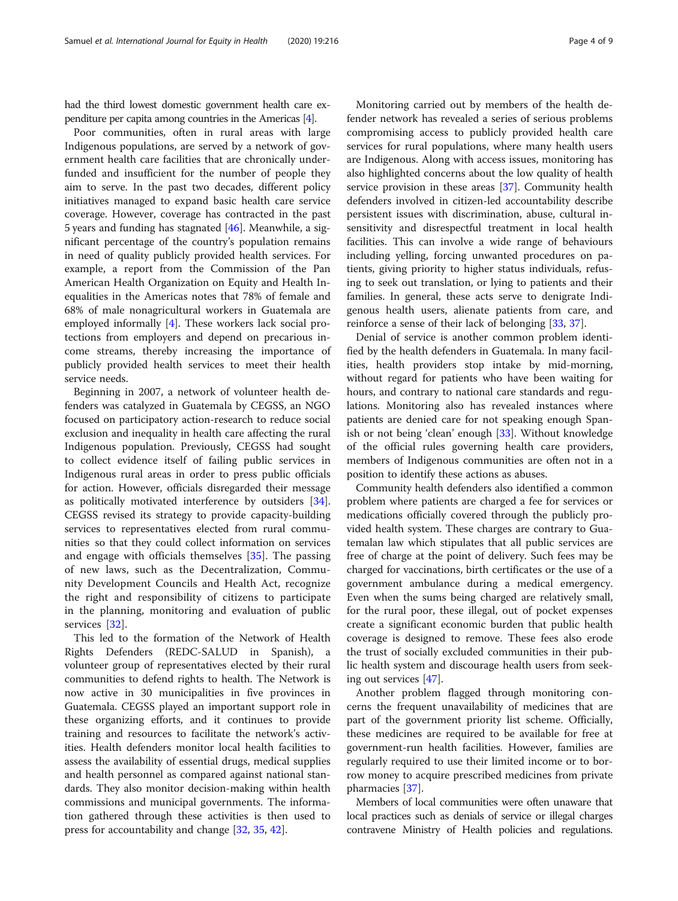had the third lowest domestic government health care expenditure per capita among countries in the Americas [\[4](#page-7-0)].

Poor communities, often in rural areas with large Indigenous populations, are served by a network of government health care facilities that are chronically underfunded and insufficient for the number of people they aim to serve. In the past two decades, different policy initiatives managed to expand basic health care service coverage. However, coverage has contracted in the past 5 years and funding has stagnated [[46](#page-8-0)]. Meanwhile, a significant percentage of the country's population remains in need of quality publicly provided health services. For example, a report from the Commission of the Pan American Health Organization on Equity and Health Inequalities in the Americas notes that 78% of female and 68% of male nonagricultural workers in Guatemala are employed informally [\[4](#page-7-0)]. These workers lack social protections from employers and depend on precarious income streams, thereby increasing the importance of publicly provided health services to meet their health service needs.

Beginning in 2007, a network of volunteer health defenders was catalyzed in Guatemala by CEGSS, an NGO focused on participatory action-research to reduce social exclusion and inequality in health care affecting the rural Indigenous population. Previously, CEGSS had sought to collect evidence itself of failing public services in Indigenous rural areas in order to press public officials for action. However, officials disregarded their message as politically motivated interference by outsiders [\[34](#page-7-0)]. CEGSS revised its strategy to provide capacity-building services to representatives elected from rural communities so that they could collect information on services and engage with officials themselves [[35\]](#page-7-0). The passing of new laws, such as the Decentralization, Community Development Councils and Health Act, recognize the right and responsibility of citizens to participate in the planning, monitoring and evaluation of public services [\[32](#page-7-0)].

This led to the formation of the Network of Health Rights Defenders (REDC-SALUD in Spanish), a volunteer group of representatives elected by their rural communities to defend rights to health. The Network is now active in 30 municipalities in five provinces in Guatemala. CEGSS played an important support role in these organizing efforts, and it continues to provide training and resources to facilitate the network's activities. Health defenders monitor local health facilities to assess the availability of essential drugs, medical supplies and health personnel as compared against national standards. They also monitor decision-making within health commissions and municipal governments. The information gathered through these activities is then used to press for accountability and change [[32,](#page-7-0) [35](#page-7-0), [42](#page-7-0)].

Monitoring carried out by members of the health defender network has revealed a series of serious problems compromising access to publicly provided health care services for rural populations, where many health users are Indigenous. Along with access issues, monitoring has also highlighted concerns about the low quality of health service provision in these areas [[37\]](#page-7-0). Community health defenders involved in citizen-led accountability describe persistent issues with discrimination, abuse, cultural insensitivity and disrespectful treatment in local health facilities. This can involve a wide range of behaviours including yelling, forcing unwanted procedures on patients, giving priority to higher status individuals, refusing to seek out translation, or lying to patients and their families. In general, these acts serve to denigrate Indigenous health users, alienate patients from care, and reinforce a sense of their lack of belonging [\[33](#page-7-0), [37](#page-7-0)].

Denial of service is another common problem identified by the health defenders in Guatemala. In many facilities, health providers stop intake by mid-morning, without regard for patients who have been waiting for hours, and contrary to national care standards and regulations. Monitoring also has revealed instances where patients are denied care for not speaking enough Spanish or not being 'clean' enough [[33\]](#page-7-0). Without knowledge of the official rules governing health care providers, members of Indigenous communities are often not in a position to identify these actions as abuses.

Community health defenders also identified a common problem where patients are charged a fee for services or medications officially covered through the publicly provided health system. These charges are contrary to Guatemalan law which stipulates that all public services are free of charge at the point of delivery. Such fees may be charged for vaccinations, birth certificates or the use of a government ambulance during a medical emergency. Even when the sums being charged are relatively small, for the rural poor, these illegal, out of pocket expenses create a significant economic burden that public health coverage is designed to remove. These fees also erode the trust of socially excluded communities in their public health system and discourage health users from seeking out services [[47](#page-8-0)].

Another problem flagged through monitoring concerns the frequent unavailability of medicines that are part of the government priority list scheme. Officially, these medicines are required to be available for free at government-run health facilities. However, families are regularly required to use their limited income or to borrow money to acquire prescribed medicines from private pharmacies [\[37\]](#page-7-0).

Members of local communities were often unaware that local practices such as denials of service or illegal charges contravene Ministry of Health policies and regulations.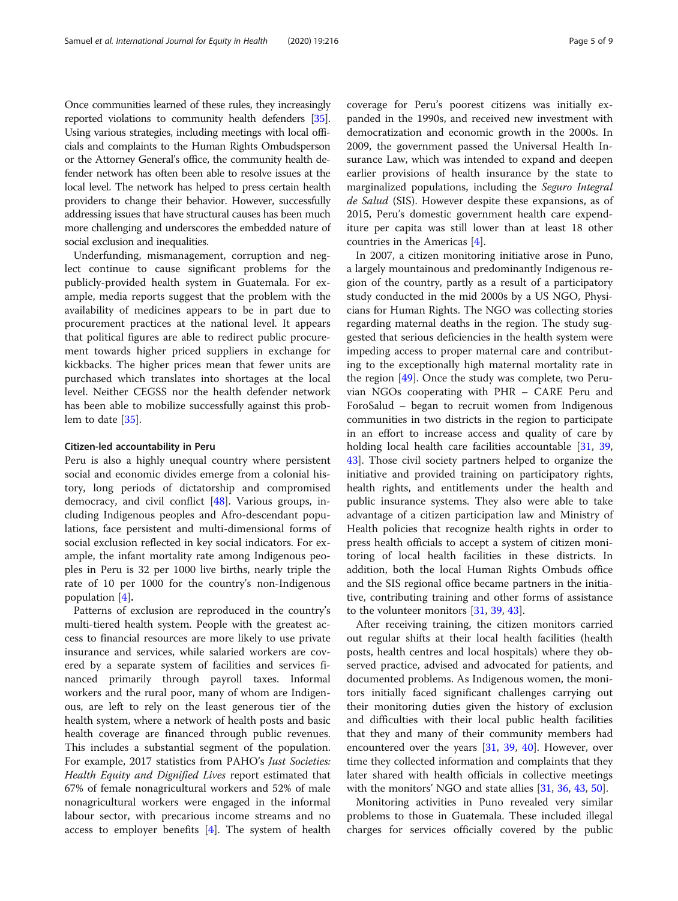Once communities learned of these rules, they increasingly reported violations to community health defenders [\[35](#page-7-0)]. Using various strategies, including meetings with local officials and complaints to the Human Rights Ombudsperson or the Attorney General's office, the community health defender network has often been able to resolve issues at the local level. The network has helped to press certain health providers to change their behavior. However, successfully addressing issues that have structural causes has been much more challenging and underscores the embedded nature of social exclusion and inequalities.

Underfunding, mismanagement, corruption and neglect continue to cause significant problems for the publicly-provided health system in Guatemala. For example, media reports suggest that the problem with the availability of medicines appears to be in part due to procurement practices at the national level. It appears that political figures are able to redirect public procurement towards higher priced suppliers in exchange for kickbacks. The higher prices mean that fewer units are purchased which translates into shortages at the local level. Neither CEGSS nor the health defender network has been able to mobilize successfully against this problem to date [\[35](#page-7-0)].

#### Citizen-led accountability in Peru

Peru is also a highly unequal country where persistent social and economic divides emerge from a colonial history, long periods of dictatorship and compromised democracy, and civil conflict [[48\]](#page-8-0). Various groups, including Indigenous peoples and Afro-descendant populations, face persistent and multi-dimensional forms of social exclusion reflected in key social indicators. For example, the infant mortality rate among Indigenous peoples in Peru is 32 per 1000 live births, nearly triple the rate of 10 per 1000 for the country's non-Indigenous population [[4\]](#page-7-0).

Patterns of exclusion are reproduced in the country's multi-tiered health system. People with the greatest access to financial resources are more likely to use private insurance and services, while salaried workers are covered by a separate system of facilities and services financed primarily through payroll taxes. Informal workers and the rural poor, many of whom are Indigenous, are left to rely on the least generous tier of the health system, where a network of health posts and basic health coverage are financed through public revenues. This includes a substantial segment of the population. For example, 2017 statistics from PAHO's Just Societies: Health Equity and Dignified Lives report estimated that 67% of female nonagricultural workers and 52% of male nonagricultural workers were engaged in the informal labour sector, with precarious income streams and no access to employer benefits  $[4]$ . The system of health coverage for Peru's poorest citizens was initially expanded in the 1990s, and received new investment with democratization and economic growth in the 2000s. In 2009, the government passed the Universal Health Insurance Law, which was intended to expand and deepen earlier provisions of health insurance by the state to marginalized populations, including the Seguro Integral de Salud (SIS). However despite these expansions, as of 2015, Peru's domestic government health care expenditure per capita was still lower than at least 18 other countries in the Americas [[4\]](#page-7-0).

In 2007, a citizen monitoring initiative arose in Puno, a largely mountainous and predominantly Indigenous region of the country, partly as a result of a participatory study conducted in the mid 2000s by a US NGO, Physicians for Human Rights. The NGO was collecting stories regarding maternal deaths in the region. The study suggested that serious deficiencies in the health system were impeding access to proper maternal care and contributing to the exceptionally high maternal mortality rate in the region [[49\]](#page-8-0). Once the study was complete, two Peruvian NGOs cooperating with PHR – CARE Peru and ForoSalud – began to recruit women from Indigenous communities in two districts in the region to participate in an effort to increase access and quality of care by holding local health care facilities accountable [[31,](#page-7-0) [39](#page-7-0), [43\]](#page-7-0). Those civil society partners helped to organize the initiative and provided training on participatory rights, health rights, and entitlements under the health and public insurance systems. They also were able to take advantage of a citizen participation law and Ministry of Health policies that recognize health rights in order to press health officials to accept a system of citizen monitoring of local health facilities in these districts. In addition, both the local Human Rights Ombuds office and the SIS regional office became partners in the initiative, contributing training and other forms of assistance to the volunteer monitors [\[31](#page-7-0), [39](#page-7-0), [43](#page-7-0)].

After receiving training, the citizen monitors carried out regular shifts at their local health facilities (health posts, health centres and local hospitals) where they observed practice, advised and advocated for patients, and documented problems. As Indigenous women, the monitors initially faced significant challenges carrying out their monitoring duties given the history of exclusion and difficulties with their local public health facilities that they and many of their community members had encountered over the years [[31](#page-7-0), [39,](#page-7-0) [40\]](#page-7-0). However, over time they collected information and complaints that they later shared with health officials in collective meetings with the monitors' NGO and state allies [[31,](#page-7-0) [36,](#page-7-0) [43](#page-7-0), [50](#page-8-0)].

Monitoring activities in Puno revealed very similar problems to those in Guatemala. These included illegal charges for services officially covered by the public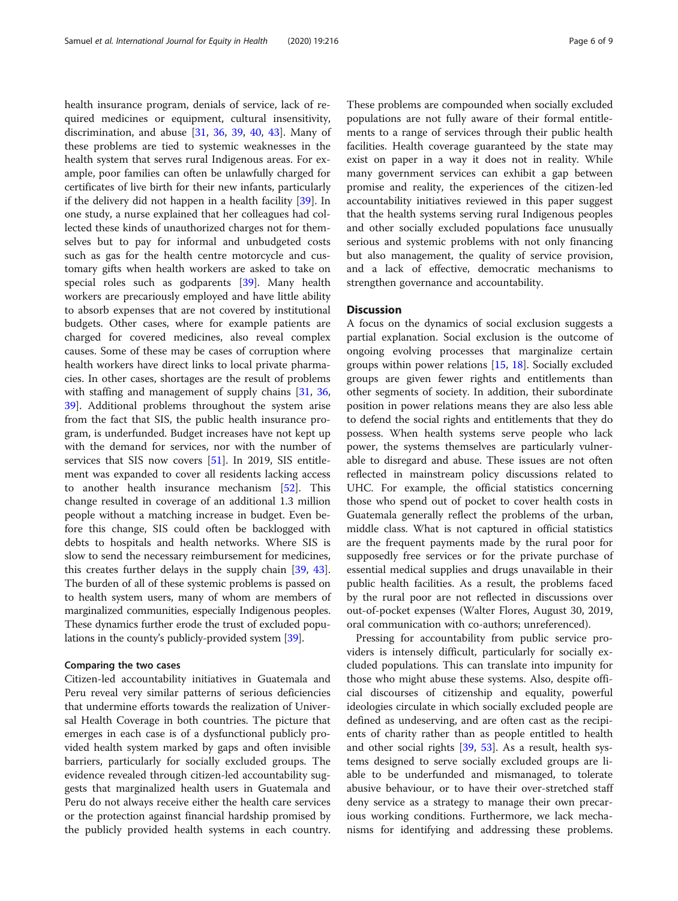health insurance program, denials of service, lack of required medicines or equipment, cultural insensitivity, discrimination, and abuse  $[31, 36, 39, 40, 43]$  $[31, 36, 39, 40, 43]$  $[31, 36, 39, 40, 43]$  $[31, 36, 39, 40, 43]$  $[31, 36, 39, 40, 43]$  $[31, 36, 39, 40, 43]$  $[31, 36, 39, 40, 43]$  $[31, 36, 39, 40, 43]$  $[31, 36, 39, 40, 43]$ . Many of these problems are tied to systemic weaknesses in the health system that serves rural Indigenous areas. For example, poor families can often be unlawfully charged for certificates of live birth for their new infants, particularly if the delivery did not happen in a health facility [\[39](#page-7-0)]. In one study, a nurse explained that her colleagues had collected these kinds of unauthorized charges not for themselves but to pay for informal and unbudgeted costs such as gas for the health centre motorcycle and customary gifts when health workers are asked to take on special roles such as godparents [\[39\]](#page-7-0). Many health workers are precariously employed and have little ability to absorb expenses that are not covered by institutional budgets. Other cases, where for example patients are charged for covered medicines, also reveal complex causes. Some of these may be cases of corruption where health workers have direct links to local private pharmacies. In other cases, shortages are the result of problems with staffing and management of supply chains [[31,](#page-7-0) [36](#page-7-0), [39\]](#page-7-0). Additional problems throughout the system arise from the fact that SIS, the public health insurance program, is underfunded. Budget increases have not kept up with the demand for services, nor with the number of services that SIS now covers [\[51](#page-8-0)]. In 2019, SIS entitlement was expanded to cover all residents lacking access to another health insurance mechanism [\[52](#page-8-0)]. This change resulted in coverage of an additional 1.3 million people without a matching increase in budget. Even before this change, SIS could often be backlogged with debts to hospitals and health networks. Where SIS is slow to send the necessary reimbursement for medicines, this creates further delays in the supply chain [\[39](#page-7-0), [43](#page-7-0)]. The burden of all of these systemic problems is passed on to health system users, many of whom are members of marginalized communities, especially Indigenous peoples. These dynamics further erode the trust of excluded populations in the county's publicly-provided system [\[39](#page-7-0)].

## Comparing the two cases

Citizen-led accountability initiatives in Guatemala and Peru reveal very similar patterns of serious deficiencies that undermine efforts towards the realization of Universal Health Coverage in both countries. The picture that emerges in each case is of a dysfunctional publicly provided health system marked by gaps and often invisible barriers, particularly for socially excluded groups. The evidence revealed through citizen-led accountability suggests that marginalized health users in Guatemala and Peru do not always receive either the health care services or the protection against financial hardship promised by the publicly provided health systems in each country.

These problems are compounded when socially excluded populations are not fully aware of their formal entitlements to a range of services through their public health facilities. Health coverage guaranteed by the state may exist on paper in a way it does not in reality. While many government services can exhibit a gap between promise and reality, the experiences of the citizen-led accountability initiatives reviewed in this paper suggest that the health systems serving rural Indigenous peoples and other socially excluded populations face unusually serious and systemic problems with not only financing but also management, the quality of service provision, and a lack of effective, democratic mechanisms to strengthen governance and accountability.

## **Discussion**

A focus on the dynamics of social exclusion suggests a partial explanation. Social exclusion is the outcome of ongoing evolving processes that marginalize certain groups within power relations [[15](#page-7-0), [18\]](#page-7-0). Socially excluded groups are given fewer rights and entitlements than other segments of society. In addition, their subordinate position in power relations means they are also less able to defend the social rights and entitlements that they do possess. When health systems serve people who lack power, the systems themselves are particularly vulnerable to disregard and abuse. These issues are not often reflected in mainstream policy discussions related to UHC. For example, the official statistics concerning those who spend out of pocket to cover health costs in Guatemala generally reflect the problems of the urban, middle class. What is not captured in official statistics are the frequent payments made by the rural poor for supposedly free services or for the private purchase of essential medical supplies and drugs unavailable in their public health facilities. As a result, the problems faced by the rural poor are not reflected in discussions over out-of-pocket expenses (Walter Flores, August 30, 2019, oral communication with co-authors; unreferenced).

Pressing for accountability from public service providers is intensely difficult, particularly for socially excluded populations. This can translate into impunity for those who might abuse these systems. Also, despite official discourses of citizenship and equality, powerful ideologies circulate in which socially excluded people are defined as undeserving, and are often cast as the recipients of charity rather than as people entitled to health and other social rights [[39](#page-7-0), [53](#page-8-0)]. As a result, health systems designed to serve socially excluded groups are liable to be underfunded and mismanaged, to tolerate abusive behaviour, or to have their over-stretched staff deny service as a strategy to manage their own precarious working conditions. Furthermore, we lack mechanisms for identifying and addressing these problems.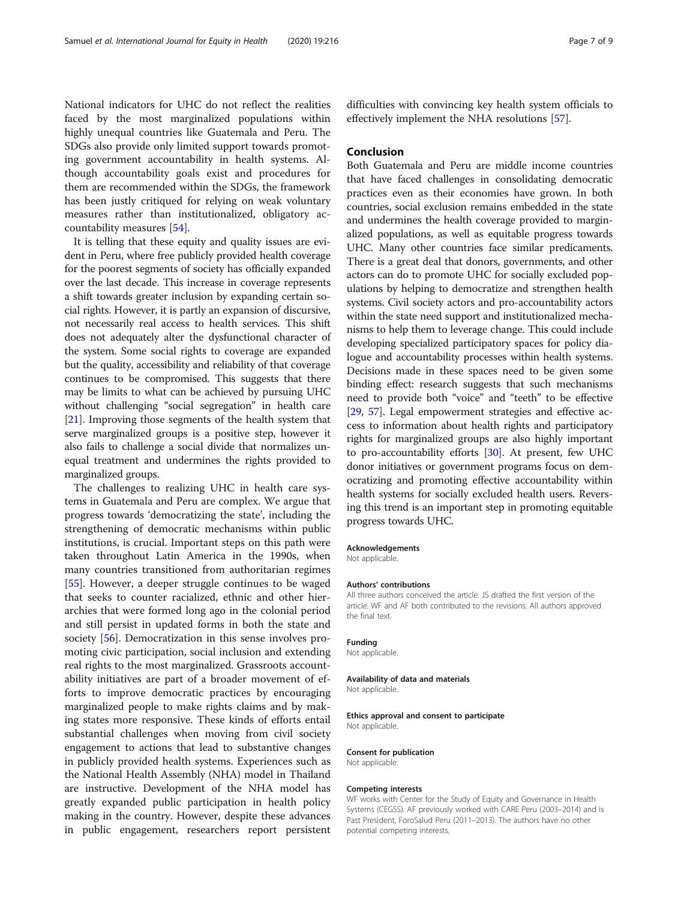National indicators for UHC do not reflect the realities faced by the most marginalized populations within highly unequal countries like Guatemala and Peru. The SDGs also provide only limited support towards promoting government accountability in health systems. Although accountability goals exist and procedures for them are recommended within the SDGs, the framework has been justly critiqued for relying on weak voluntary measures rather than institutionalized, obligatory accountability measures [[54\]](#page-8-0).

It is telling that these equity and quality issues are evident in Peru, where free publicly provided health coverage for the poorest segments of society has officially expanded over the last decade. This increase in coverage represents a shift towards greater inclusion by expanding certain social rights. However, it is partly an expansion of discursive, not necessarily real access to health services. This shift does not adequately alter the dysfunctional character of the system. Some social rights to coverage are expanded but the quality, accessibility and reliability of that coverage continues to be compromised. This suggests that there may be limits to what can be achieved by pursuing UHC without challenging "social segregation" in health care [[21](#page-7-0)]. Improving those segments of the health system that serve marginalized groups is a positive step, however it also fails to challenge a social divide that normalizes unequal treatment and undermines the rights provided to marginalized groups.

The challenges to realizing UHC in health care systems in Guatemala and Peru are complex. We argue that progress towards 'democratizing the state', including the strengthening of democratic mechanisms within public institutions, is crucial. Important steps on this path were taken throughout Latin America in the 1990s, when many countries transitioned from authoritarian regimes [[55\]](#page-8-0). However, a deeper struggle continues to be waged that seeks to counter racialized, ethnic and other hierarchies that were formed long ago in the colonial period and still persist in updated forms in both the state and society [\[56](#page-8-0)]. Democratization in this sense involves promoting civic participation, social inclusion and extending real rights to the most marginalized. Grassroots accountability initiatives are part of a broader movement of efforts to improve democratic practices by encouraging marginalized people to make rights claims and by making states more responsive. These kinds of efforts entail substantial challenges when moving from civil society engagement to actions that lead to substantive changes in publicly provided health systems. Experiences such as the National Health Assembly (NHA) model in Thailand are instructive. Development of the NHA model has greatly expanded public participation in health policy making in the country. However, despite these advances in public engagement, researchers report persistent

difficulties with convincing key health system officials to effectively implement the NHA resolutions [[57\]](#page-8-0).

## Conclusion

Both Guatemala and Peru are middle income countries that have faced challenges in consolidating democratic practices even as their economies have grown. In both countries, social exclusion remains embedded in the state and undermines the health coverage provided to marginalized populations, as well as equitable progress towards UHC. Many other countries face similar predicaments. There is a great deal that donors, governments, and other actors can do to promote UHC for socially excluded populations by helping to democratize and strengthen health systems. Civil society actors and pro-accountability actors within the state need support and institutionalized mechanisms to help them to leverage change. This could include developing specialized participatory spaces for policy dialogue and accountability processes within health systems. Decisions made in these spaces need to be given some binding effect: research suggests that such mechanisms need to provide both "voice" and "teeth" to be effective [[29](#page-7-0), [57](#page-8-0)]. Legal empowerment strategies and effective access to information about health rights and participatory rights for marginalized groups are also highly important to pro-accountability efforts [\[30\]](#page-7-0). At present, few UHC donor initiatives or government programs focus on democratizing and promoting effective accountability within health systems for socially excluded health users. Reversing this trend is an important step in promoting equitable progress towards UHC.

#### Acknowledgements

Not applicable.

#### Authors' contributions

All three authors conceived the article. JS drafted the first version of the article. WF and AF both contributed to the revisions. All authors approved the final text.

#### Funding

Not applicable.

#### Availability of data and materials Not applicable.

Ethics approval and consent to participate Not applicable.

#### Consent for publication

Not applicable.

#### Competing interests

WF works with Center for the Study of Equity and Governance in Health Systems (CEGSS). AF previously worked with CARE Peru (2003–2014) and is Past President, ForoSalud Peru (2011–2013). The authors have no other potential competing interests.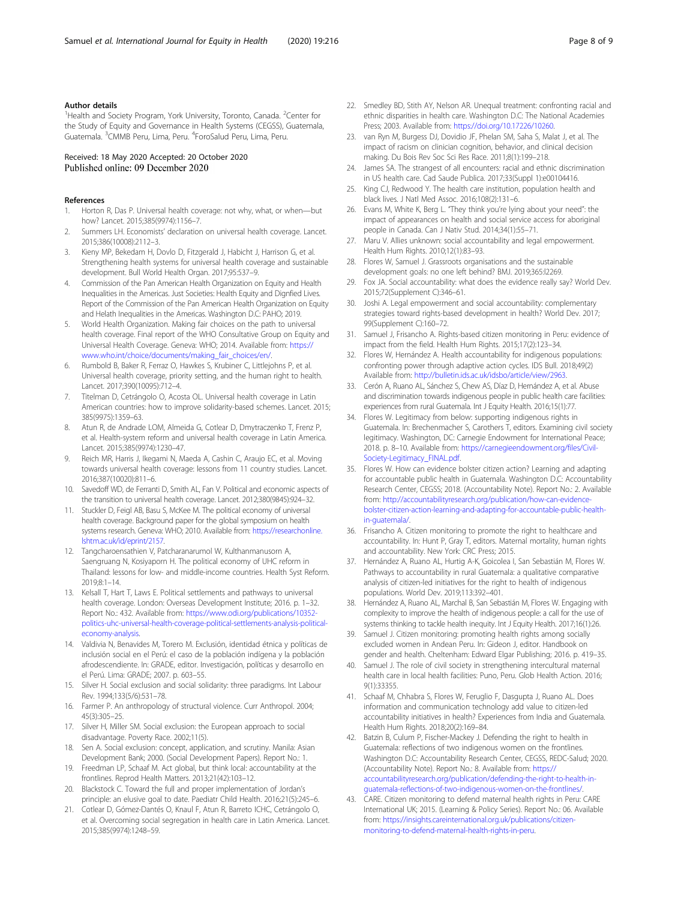## <span id="page-7-0"></span>Author details

<sup>1</sup>Health and Society Program, York University, Toronto, Canada. <sup>2</sup>Center for the Study of Equity and Governance in Health Systems (CEGSS), Guatemala, Guatemala. <sup>3</sup>CMMB Peru, Lima, Peru. <sup>4</sup>ForoSalud Peru, Lima, Peru.

## Received: 18 May 2020 Accepted: 20 October 2020 Published online: 09 December 2020

#### References

- 1. Horton R, Das P. Universal health coverage: not why, what, or when—but how? Lancet. 2015;385(9974):1156–7.
- Summers LH. Economists' declaration on universal health coverage. Lancet. 2015;386(10008):2112–3.
- 3. Kieny MP, Bekedam H, Dovlo D, Fitzgerald J, Habicht J, Harrison G, et al. Strengthening health systems for universal health coverage and sustainable development. Bull World Health Organ. 2017;95:537–9.
- 4. Commission of the Pan American Health Organization on Equity and Health Inequalities in the Americas. Just Societies: Health Equity and Dignfied Lives. Report of the Commission of the Pan American Health Organization on Equity and Helath Inequalities in the Americas. Washington D.C: PAHO; 2019.
- 5. World Health Organization. Making fair choices on the path to universal health coverage. Final report of the WHO Consultative Group on Equity and Universal Health Coverage. Geneva: WHO; 2014. Available from: [https://](https://www.who.int/choice/documents/making_fair_choices/en/) [www.who.int/choice/documents/making\\_fair\\_choices/en/.](https://www.who.int/choice/documents/making_fair_choices/en/)
- Rumbold B, Baker R, Ferraz O, Hawkes S, Krubiner C, Littlejohns P, et al. Universal health coverage, priority setting, and the human right to health. Lancet. 2017;390(10095):712–4.
- 7. Titelman D, Cetrángolo O, Acosta OL. Universal health coverage in Latin American countries: how to improve solidarity-based schemes. Lancet. 2015; 385(9975):1359–63.
- Atun R, de Andrade LOM, Almeida G, Cotlear D, Dmytraczenko T, Frenz P, et al. Health-system reform and universal health coverage in Latin America. Lancet. 2015;385(9974):1230–47.
- 9. Reich MR, Harris J, Ikegami N, Maeda A, Cashin C, Araujo EC, et al. Moving towards universal health coverage: lessons from 11 country studies. Lancet. 2016;387(10020):811–6.
- 10. Savedoff WD, de Ferranti D, Smith AL, Fan V. Political and economic aspects of the transition to universal health coverage. Lancet. 2012;380(9845):924–32.
- 11. Stuckler D, Feigl AB, Basu S, McKee M. The political economy of universal health coverage. Background paper for the global symposium on health systems research. Geneva: WHO; 2010. Available from: [https://researchonline.](https://researchonline.lshtm.ac.uk/id/eprint/2157) [lshtm.ac.uk/id/eprint/2157.](https://researchonline.lshtm.ac.uk/id/eprint/2157)
- 12. Tangcharoensathien V, Patcharanarumol W, Kulthanmanusorn A, Saengruang N, Kosiyaporn H. The political economy of UHC reform in Thailand: lessons for low- and middle-income countries. Health Syst Reform. 2019;8:1–14.
- 13. Kelsall T, Hart T, Laws E. Political settlements and pathways to universal health coverage. London: Overseas Development Institute; 2016. p. 1–32. Report No.: 432. Available from: [https://www.odi.org/publications/10352](https://www.odi.org/publications/10352-politics-uhc-universal-health-coverage-political-settlements-analysis-political-economy-analysis) [politics-uhc-universal-health-coverage-political-settlements-analysis-political](https://www.odi.org/publications/10352-politics-uhc-universal-health-coverage-political-settlements-analysis-political-economy-analysis)[economy-analysis](https://www.odi.org/publications/10352-politics-uhc-universal-health-coverage-political-settlements-analysis-political-economy-analysis).
- 14. Valdivia N, Benavides M, Torero M. Exclusión, identidad étnica y políticas de inclusión social en el Perú: el caso de la población indígena y la población afrodescendiente. In: GRADE, editor. Investigación, políticas y desarrollo en el Perú. Lima: GRADE; 2007. p. 603–55.
- 15. Silver H. Social exclusion and social solidarity: three paradigms. Int Labour Rev. 1994;133(5/6):531–78.
- 16. Farmer P. An anthropology of structural violence. Curr Anthropol. 2004; 45(3):305–25.
- 17. Silver H, Miller SM. Social exclusion: the European approach to social disadvantage. Poverty Race. 2002;11(5).
- 18. Sen A. Social exclusion: concept, application, and scrutiny. Manila: Asian Development Bank; 2000. (Social Development Papers). Report No.: 1.
- 19. Freedman LP, Schaaf M. Act global, but think local: accountability at the frontlines. Reprod Health Matters. 2013;21(42):103–12.
- 20. Blackstock C. Toward the full and proper implementation of Jordan's principle: an elusive goal to date. Paediatr Child Health. 2016;21(5):245–6.
- 21. Cotlear D, Gómez-Dantés O, Knaul F, Atun R, Barreto ICHC, Cetrángolo O, et al. Overcoming social segregation in health care in Latin America. Lancet. 2015;385(9974):1248–59.
- 22. Smedley BD, Stith AY, Nelson AR. Unequal treatment: confronting racial and ethnic disparities in health care. Washington D.C: The National Academies Press; 2003. Available from: <https://doi.org/10.17226/10260>.
- 23. van Ryn M, Burgess DJ, Dovidio JF, Phelan SM, Saha S, Malat J, et al. The impact of racism on clinician cognition, behavior, and clinical decision making. Du Bois Rev Soc Sci Res Race. 2011;8(1):199–218.
- 24. James SA. The strangest of all encounters: racial and ethnic discrimination in US health care. Cad Saude Publica. 2017;33(Suppl 1):e00104416.
- 25. King CJ, Redwood Y. The health care institution, population health and black lives. J Natl Med Assoc. 2016;108(2):131–6.
- 26. Evans M, White K, Berg L. "They think you're lying about your need": the impact of appearances on health and social service access for aboriginal people in Canada. Can J Nativ Stud. 2014;34(1):55–71.
- 27. Maru V. Allies unknown: social accountability and legal empowerment. Health Hum Rights. 2010;12(1):83–93.
- 28. Flores W, Samuel J. Grassroots organisations and the sustainable development goals: no one left behind? BMJ. 2019;365:l2269.
- 29. Fox JA. Social accountability: what does the evidence really say? World Dev. 2015;72(Supplement C):346–61.
- 30. Joshi A. Legal empowerment and social accountability: complementary strategies toward rights-based development in health? World Dev. 2017; 99(Supplement C):160–72.
- 31. Samuel J, Frisancho A. Rights-based citizen monitoring in Peru: evidence of impact from the field. Health Hum Rights. 2015;17(2):123–34.
- 32. Flores W, Hernández A. Health accountability for indigenous populations: confronting power through adaptive action cycles. IDS Bull. 2018;49(2) Available from: <http://bulletin.ids.ac.uk/idsbo/article/view/2963>.
- 33. Cerón A, Ruano AL, Sánchez S, Chew AS, Díaz D, Hernández A, et al. Abuse and discrimination towards indigenous people in public health care facilities: experiences from rural Guatemala. Int J Equity Health. 2016;15(1):77.
- 34. Flores W. Legitimacy from below: supporting indigenous rights in Guatemala. In: Brechenmacher S, Carothers T, editors. Examining civil society legitimacy. Washington, DC: Carnegie Endowment for International Peace; 2018. p. 8–10. Available from: [https://carnegieendowment.org/files/Civil-](https://carnegieendowment.org/files/Civil-Society-Legitimacy_FINAL.pdf)[Society-Legitimacy\\_FINAL.pdf.](https://carnegieendowment.org/files/Civil-Society-Legitimacy_FINAL.pdf)
- 35. Flores W. How can evidence bolster citizen action? Learning and adapting for accountable public health in Guatemala. Washington D.C: Accountability Research Center, CEGSS; 2018. (Accountability Note). Report No.: 2. Available from: [http://accountabilityresearch.org/publication/how-can-evidence](http://accountabilityresearch.org/publication/how-can-evidence-bolster-citizen-action-learning-and-adapting-for-accountable-public-health-in-guatemala/)[bolster-citizen-action-learning-and-adapting-for-accountable-public-health](http://accountabilityresearch.org/publication/how-can-evidence-bolster-citizen-action-learning-and-adapting-for-accountable-public-health-in-guatemala/)[in-guatemala/](http://accountabilityresearch.org/publication/how-can-evidence-bolster-citizen-action-learning-and-adapting-for-accountable-public-health-in-guatemala/).
- 36. Frisancho A. Citizen monitoring to promote the right to healthcare and accountability. In: Hunt P, Gray T, editors. Maternal mortality, human rights and accountability. New York: CRC Press; 2015.
- 37. Hernández A, Ruano AL, Hurtig A-K, Goicolea I, San Sebastián M, Flores W. Pathways to accountability in rural Guatemala: a qualitative comparative analysis of citizen-led initiatives for the right to health of indigenous populations. World Dev. 2019;113:392–401.
- 38. Hernández A, Ruano AL, Marchal B, San Sebastián M, Flores W. Engaging with complexity to improve the health of indigenous people: a call for the use of systems thinking to tackle health inequity. Int J Equity Health. 2017;16(1):26.
- 39. Samuel J. Citizen monitoring: promoting health rights among socially excluded women in Andean Peru. In: Gideon J, editor. Handbook on gender and health. Cheltenham: Edward Elgar Publishing; 2016. p. 419–35.
- 40. Samuel J. The role of civil society in strengthening intercultural maternal health care in local health facilities: Puno, Peru. Glob Health Action. 2016; 9(1):33355.
- 41. Schaaf M, Chhabra S, Flores W, Feruglio F, Dasgupta J, Ruano AL. Does information and communication technology add value to citizen-led accountability initiatives in health? Experiences from India and Guatemala. Health Hum Rights. 2018;20(2):169–84.
- 42. Batzin B, Culum P, Fischer-Mackey J. Defending the right to health in Guatemala: reflections of two indigenous women on the frontlines. Washington D.C: Accountability Research Center, CEGSS, REDC-Salud; 2020. (Accountability Note). Report No.: 8. Available from: [https://](https://accountabilityresearch.org/publication/defending-the-right-to-health-in-guatemala-reflections-of-two-indigenous-women-on-the-frontlines/) [accountabilityresearch.org/publication/defending-the-right-to-health-in](https://accountabilityresearch.org/publication/defending-the-right-to-health-in-guatemala-reflections-of-two-indigenous-women-on-the-frontlines/)[guatemala-reflections-of-two-indigenous-women-on-the-frontlines/.](https://accountabilityresearch.org/publication/defending-the-right-to-health-in-guatemala-reflections-of-two-indigenous-women-on-the-frontlines/)
- 43. CARE. Citizen monitoring to defend maternal health rights in Peru: CARE International UK; 2015. (Learning & Policy Series). Report No.: 06. Available from: [https://insights.careinternational.org.uk/publications/citizen](https://insights.careinternational.org.uk/publications/citizen-monitoring-to-defend-maternal-health-rights-in-peru)[monitoring-to-defend-maternal-health-rights-in-peru.](https://insights.careinternational.org.uk/publications/citizen-monitoring-to-defend-maternal-health-rights-in-peru)